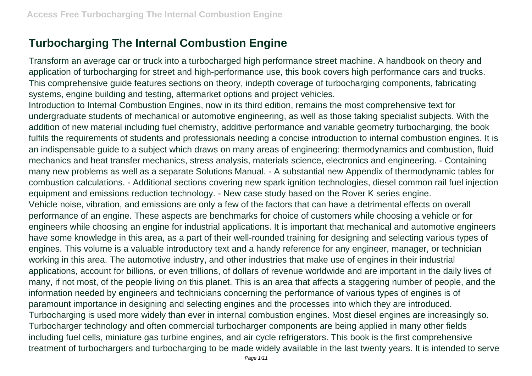## **Turbocharging The Internal Combustion Engine**

Transform an average car or truck into a turbocharged high performance street machine. A handbook on theory and application of turbocharging for street and high-performance use, this book covers high performance cars and trucks. This comprehensive guide features sections on theory, indepth coverage of turbocharging components, fabricating systems, engine building and testing, aftermarket options and project vehicles.

Introduction to Internal Combustion Engines, now in its third edition, remains the most comprehensive text for undergraduate students of mechanical or automotive engineering, as well as those taking specialist subjects. With the addition of new material including fuel chemistry, additive performance and variable geometry turbocharging, the book fulfils the requirements of students and professionals needing a concise introduction to internal combustion engines. It is an indispensable guide to a subject which draws on many areas of engineering: thermodynamics and combustion, fluid mechanics and heat transfer mechanics, stress analysis, materials science, electronics and engineering. - Containing many new problems as well as a separate Solutions Manual. - A substantial new Appendix of thermodynamic tables for combustion calculations. - Additional sections covering new spark ignition technologies, diesel common rail fuel injection equipment and emissions reduction technology. - New case study based on the Rover K series engine. Vehicle noise, vibration, and emissions are only a few of the factors that can have a detrimental effects on overall performance of an engine. These aspects are benchmarks for choice of customers while choosing a vehicle or for engineers while choosing an engine for industrial applications. It is important that mechanical and automotive engineers have some knowledge in this area, as a part of their well-rounded training for designing and selecting various types of engines. This volume is a valuable introductory text and a handy reference for any engineer, manager, or technician working in this area. The automotive industry, and other industries that make use of engines in their industrial applications, account for billions, or even trillions, of dollars of revenue worldwide and are important in the daily lives of many, if not most, of the people living on this planet. This is an area that affects a staggering number of people, and the information needed by engineers and technicians concerning the performance of various types of engines is of paramount importance in designing and selecting engines and the processes into which they are introduced. Turbocharging is used more widely than ever in internal combustion engines. Most diesel engines are increasingly so.

Turbocharger technology and often commercial turbocharger components are being applied in many other fields including fuel cells, miniature gas turbine engines, and air cycle refrigerators. This book is the first comprehensive treatment of turbochargers and turbocharging to be made widely available in the last twenty years. It is intended to serve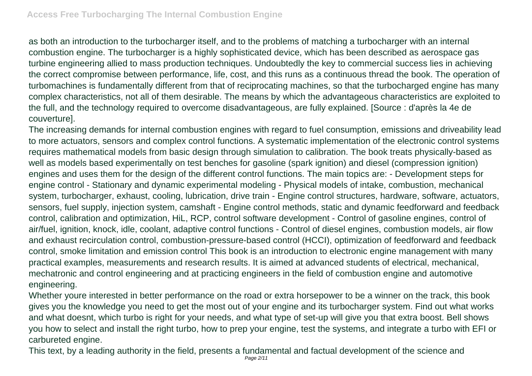as both an introduction to the turbocharger itself, and to the problems of matching a turbocharger with an internal combustion engine. The turbocharger is a highly sophisticated device, which has been described as aerospace gas turbine engineering allied to mass production techniques. Undoubtedly the key to commercial success lies in achieving the correct compromise between performance, life, cost, and this runs as a continuous thread the book. The operation of turbomachines is fundamentally different from that of reciprocating machines, so that the turbocharged engine has many complex characteristics, not all of them desirable. The means by which the advantageous characteristics are exploited to the full, and the technology required to overcome disadvantageous, are fully explained. [Source : d'après la 4e de couverture].

The increasing demands for internal combustion engines with regard to fuel consumption, emissions and driveability lead to more actuators, sensors and complex control functions. A systematic implementation of the electronic control systems requires mathematical models from basic design through simulation to calibration. The book treats physically-based as well as models based experimentally on test benches for gasoline (spark ignition) and diesel (compression ignition) engines and uses them for the design of the different control functions. The main topics are: - Development steps for engine control - Stationary and dynamic experimental modeling - Physical models of intake, combustion, mechanical system, turbocharger, exhaust, cooling, lubrication, drive train - Engine control structures, hardware, software, actuators, sensors, fuel supply, injection system, camshaft - Engine control methods, static and dynamic feedforward and feedback control, calibration and optimization, HiL, RCP, control software development - Control of gasoline engines, control of air/fuel, ignition, knock, idle, coolant, adaptive control functions - Control of diesel engines, combustion models, air flow and exhaust recirculation control, combustion-pressure-based control (HCCI), optimization of feedforward and feedback control, smoke limitation and emission control This book is an introduction to electronic engine management with many practical examples, measurements and research results. It is aimed at advanced students of electrical, mechanical, mechatronic and control engineering and at practicing engineers in the field of combustion engine and automotive engineering.

Whether youre interested in better performance on the road or extra horsepower to be a winner on the track, this book gives you the knowledge you need to get the most out of your engine and its turbocharger system. Find out what works and what doesnt, which turbo is right for your needs, and what type of set-up will give you that extra boost. Bell shows you how to select and install the right turbo, how to prep your engine, test the systems, and integrate a turbo with EFI or carbureted engine.

This text, by a leading authority in the field, presents a fundamental and factual development of the science and Page 2/11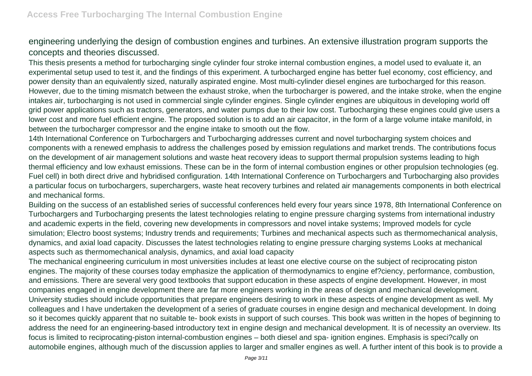engineering underlying the design of combustion engines and turbines. An extensive illustration program supports the concepts and theories discussed.

This thesis presents a method for turbocharging single cylinder four stroke internal combustion engines, a model used to evaluate it, an experimental setup used to test it, and the findings of this experiment. A turbocharged engine has better fuel economy, cost efficiency, and power density than an equivalently sized, naturally aspirated engine. Most multi-cylinder diesel engines are turbocharged for this reason. However, due to the timing mismatch between the exhaust stroke, when the turbocharger is powered, and the intake stroke, when the engine intakes air, turbocharging is not used in commercial single cylinder engines. Single cylinder engines are ubiquitous in developing world off grid power applications such as tractors, generators, and water pumps due to their low cost. Turbocharging these engines could give users a lower cost and more fuel efficient engine. The proposed solution is to add an air capacitor, in the form of a large volume intake manifold, in between the turbocharger compressor and the engine intake to smooth out the flow.

14th International Conference on Turbochargers and Turbocharging addresses current and novel turbocharging system choices and components with a renewed emphasis to address the challenges posed by emission regulations and market trends. The contributions focus on the development of air management solutions and waste heat recovery ideas to support thermal propulsion systems leading to high thermal efficiency and low exhaust emissions. These can be in the form of internal combustion engines or other propulsion technologies (eg. Fuel cell) in both direct drive and hybridised configuration. 14th International Conference on Turbochargers and Turbocharging also provides a particular focus on turbochargers, superchargers, waste heat recovery turbines and related air managements components in both electrical and mechanical forms.

Building on the success of an established series of successful conferences held every four years since 1978, 8th International Conference on Turbochargers and Turbocharging presents the latest technologies relating to engine pressure charging systems from international industry and academic experts in the field, covering new developments in compressors and novel intake systems; Improved models for cycle simulation; Electro boost systems; Industry trends and requirements; Turbines and mechanical aspects such as thermomechanical analysis, dynamics, and axial load capacity. Discusses the latest technologies relating to engine pressure charging systems Looks at mechanical aspects such as thermomechanical analysis, dynamics, and axial load capacity

The mechanical engineering curriculum in most universities includes at least one elective course on the subject of reciprocating piston engines. The majority of these courses today emphasize the application of thermodynamics to engine ef?ciency, performance, combustion, and emissions. There are several very good textbooks that support education in these aspects of engine development. However, in most companies engaged in engine development there are far more engineers working in the areas of design and mechanical development. University studies should include opportunities that prepare engineers desiring to work in these aspects of engine development as well. My colleagues and I have undertaken the development of a series of graduate courses in engine design and mechanical development. In doing so it becomes quickly apparent that no suitable te- book exists in support of such courses. This book was written in the hopes of beginning to address the need for an engineering-based introductory text in engine design and mechanical development. It is of necessity an overview. Its focus is limited to reciprocating-piston internal-combustion engines – both diesel and spa- ignition engines. Emphasis is speci?cally on automobile engines, although much of the discussion applies to larger and smaller engines as well. A further intent of this book is to provide a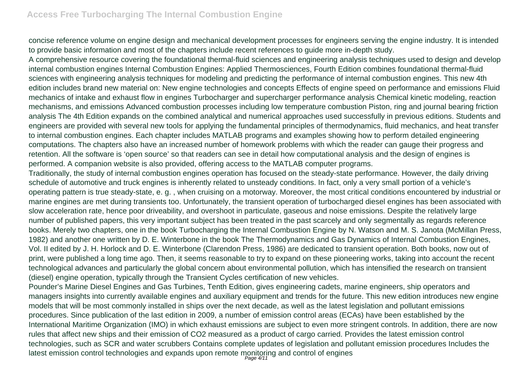## **Access Free Turbocharging The Internal Combustion Engine**

concise reference volume on engine design and mechanical development processes for engineers serving the engine industry. It is intended to provide basic information and most of the chapters include recent references to guide more in-depth study.

A comprehensive resource covering the foundational thermal-fluid sciences and engineering analysis techniques used to design and develop internal combustion engines Internal Combustion Engines: Applied Thermosciences, Fourth Edition combines foundational thermal-fluid sciences with engineering analysis techniques for modeling and predicting the performance of internal combustion engines. This new 4th edition includes brand new material on: New engine technologies and concepts Effects of engine speed on performance and emissions Fluid mechanics of intake and exhaust flow in engines Turbocharger and supercharger performance analysis Chemical kinetic modeling, reaction mechanisms, and emissions Advanced combustion processes including low temperature combustion Piston, ring and journal bearing friction analysis The 4th Edition expands on the combined analytical and numerical approaches used successfully in previous editions. Students and engineers are provided with several new tools for applying the fundamental principles of thermodynamics, fluid mechanics, and heat transfer to internal combustion engines. Each chapter includes MATLAB programs and examples showing how to perform detailed engineering computations. The chapters also have an increased number of homework problems with which the reader can gauge their progress and retention. All the software is 'open source' so that readers can see in detail how computational analysis and the design of engines is performed. A companion website is also provided, offering access to the MATLAB computer programs.

Traditionally, the study of internal combustion engines operation has focused on the steady-state performance. However, the daily driving schedule of automotive and truck engines is inherently related to unsteady conditions. In fact, only a very small portion of a vehicle's operating pattern is true steady-state, e. g. , when cruising on a motorway. Moreover, the most critical conditions encountered by industrial or marine engines are met during transients too. Unfortunately, the transient operation of turbocharged diesel engines has been associated with slow acceleration rate, hence poor driveability, and overshoot in particulate, gaseous and noise emissions. Despite the relatively large number of published papers, this very important subject has been treated in the past scarcely and only segmentally as regards reference books. Merely two chapters, one in the book Turbocharging the Internal Combustion Engine by N. Watson and M. S. Janota (McMillan Press, 1982) and another one written by D. E. Winterbone in the book The Thermodynamics and Gas Dynamics of Internal Combustion Engines, Vol. II edited by J. H. Horlock and D. E. Winterbone (Clarendon Press, 1986) are dedicated to transient operation. Both books, now out of print, were published a long time ago. Then, it seems reasonable to try to expand on these pioneering works, taking into account the recent technological advances and particularly the global concern about environmental pollution, which has intensified the research on transient (diesel) engine operation, typically through the Transient Cycles certification of new vehicles.

Pounder's Marine Diesel Engines and Gas Turbines, Tenth Edition, gives engineering cadets, marine engineers, ship operators and managers insights into currently available engines and auxiliary equipment and trends for the future. This new edition introduces new engine models that will be most commonly installed in ships over the next decade, as well as the latest legislation and pollutant emissions procedures. Since publication of the last edition in 2009, a number of emission control areas (ECAs) have been established by the International Maritime Organization (IMO) in which exhaust emissions are subject to even more stringent controls. In addition, there are now rules that affect new ships and their emission of CO2 measured as a product of cargo carried. Provides the latest emission control technologies, such as SCR and water scrubbers Contains complete updates of legislation and pollutant emission procedures Includes the latest emission control technologies and expands upon remote monitoring and control of engines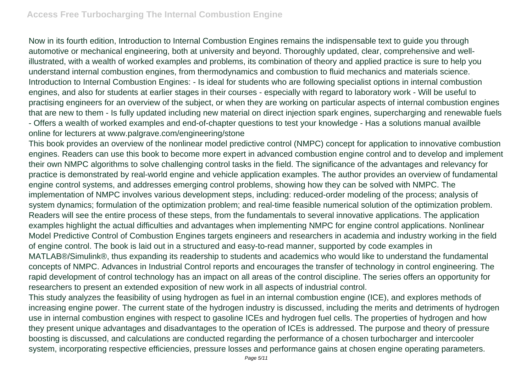Now in its fourth edition, Introduction to Internal Combustion Engines remains the indispensable text to guide you through automotive or mechanical engineering, both at university and beyond. Thoroughly updated, clear, comprehensive and wellillustrated, with a wealth of worked examples and problems, its combination of theory and applied practice is sure to help you understand internal combustion engines, from thermodynamics and combustion to fluid mechanics and materials science. Introduction to Internal Combustion Engines: - Is ideal for students who are following specialist options in internal combustion engines, and also for students at earlier stages in their courses - especially with regard to laboratory work - Will be useful to practising engineers for an overview of the subject, or when they are working on particular aspects of internal combustion engines that are new to them - Is fully updated including new material on direct injection spark engines, supercharging and renewable fuels - Offers a wealth of worked examples and end-of-chapter questions to test your knowledge - Has a solutions manual availble online for lecturers at www.palgrave.com/engineering/stone

This book provides an overview of the nonlinear model predictive control (NMPC) concept for application to innovative combustion engines. Readers can use this book to become more expert in advanced combustion engine control and to develop and implement their own NMPC algorithms to solve challenging control tasks in the field. The significance of the advantages and relevancy for practice is demonstrated by real-world engine and vehicle application examples. The author provides an overview of fundamental engine control systems, and addresses emerging control problems, showing how they can be solved with NMPC. The implementation of NMPC involves various development steps, including: reduced-order modeling of the process; analysis of system dynamics; formulation of the optimization problem; and real-time feasible numerical solution of the optimization problem. Readers will see the entire process of these steps, from the fundamentals to several innovative applications. The application examples highlight the actual difficulties and advantages when implementing NMPC for engine control applications. Nonlinear Model Predictive Control of Combustion Engines targets engineers and researchers in academia and industry working in the field of engine control. The book is laid out in a structured and easy-to-read manner, supported by code examples in MATLAB®/Simulink®, thus expanding its readership to students and academics who would like to understand the fundamental concepts of NMPC. Advances in Industrial Control reports and encourages the transfer of technology in control engineering. The rapid development of control technology has an impact on all areas of the control discipline. The series offers an opportunity for researchers to present an extended exposition of new work in all aspects of industrial control. This study analyzes the feasibility of using hydrogen as fuel in an internal combustion engine (ICE), and explores methods of increasing engine power. The current state of the hydrogen industry is discussed, including the merits and detriments of hydrogen use in internal combustion engines with respect to gasoline ICEs and hydrogen fuel cells. The properties of hydrogen and how

they present unique advantages and disadvantages to the operation of ICEs is addressed. The purpose and theory of pressure boosting is discussed, and calculations are conducted regarding the performance of a chosen turbocharger and intercooler system, incorporating respective efficiencies, pressure losses and performance gains at chosen engine operating parameters.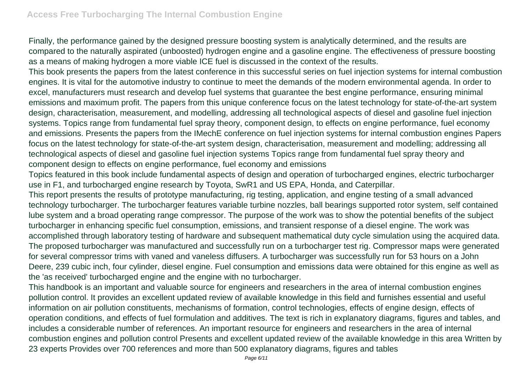Finally, the performance gained by the designed pressure boosting system is analytically determined, and the results are compared to the naturally aspirated (unboosted) hydrogen engine and a gasoline engine. The effectiveness of pressure boosting as a means of making hydrogen a more viable ICE fuel is discussed in the context of the results.

This book presents the papers from the latest conference in this successful series on fuel injection systems for internal combustion engines. It is vital for the automotive industry to continue to meet the demands of the modern environmental agenda. In order to excel, manufacturers must research and develop fuel systems that guarantee the best engine performance, ensuring minimal emissions and maximum profit. The papers from this unique conference focus on the latest technology for state-of-the-art system design, characterisation, measurement, and modelling, addressing all technological aspects of diesel and gasoline fuel injection systems. Topics range from fundamental fuel spray theory, component design, to effects on engine performance, fuel economy and emissions. Presents the papers from the IMechE conference on fuel injection systems for internal combustion engines Papers focus on the latest technology for state-of-the-art system design, characterisation, measurement and modelling; addressing all technological aspects of diesel and gasoline fuel injection systems Topics range from fundamental fuel spray theory and component design to effects on engine performance, fuel economy and emissions

Topics featured in this book include fundamental aspects of design and operation of turbocharged engines, electric turbocharger use in F1, and turbocharged engine research by Toyota, SwR1 and US EPA, Honda, and Caterpillar.

This report presents the results of prototype manufacturing, rig testing, application, and engine testing of a small advanced technology turbocharger. The turbocharger features variable turbine nozzles, ball bearings supported rotor system, self contained lube system and a broad operating range compressor. The purpose of the work was to show the potential benefits of the subject turbocharger in enhancing specific fuel consumption, emissions, and transient response of a diesel engine. The work was accomplished through laboratory testing of hardware and subsequent mathematical duty cycle simulation using the acquired data. The proposed turbocharger was manufactured and successfully run on a turbocharger test rig. Compressor maps were generated for several compressor trims with vaned and vaneless diffusers. A turbocharger was successfully run for 53 hours on a John Deere, 239 cubic inch, four cylinder, diesel engine. Fuel consumption and emissions data were obtained for this engine as well as the 'as received' turbocharged engine and the engine with no turbocharger.

This handbook is an important and valuable source for engineers and researchers in the area of internal combustion engines pollution control. It provides an excellent updated review of available knowledge in this field and furnishes essential and useful information on air pollution constituents, mechanisms of formation, control technologies, effects of engine design, effects of operation conditions, and effects of fuel formulation and additives. The text is rich in explanatory diagrams, figures and tables, and includes a considerable number of references. An important resource for engineers and researchers in the area of internal combustion engines and pollution control Presents and excellent updated review of the available knowledge in this area Written by 23 experts Provides over 700 references and more than 500 explanatory diagrams, figures and tables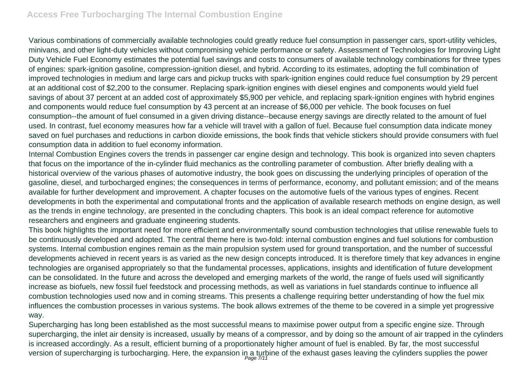Various combinations of commercially available technologies could greatly reduce fuel consumption in passenger cars, sport-utility vehicles, minivans, and other light-duty vehicles without compromising vehicle performance or safety. Assessment of Technologies for Improving Light Duty Vehicle Fuel Economy estimates the potential fuel savings and costs to consumers of available technology combinations for three types of engines: spark-ignition gasoline, compression-ignition diesel, and hybrid. According to its estimates, adopting the full combination of improved technologies in medium and large cars and pickup trucks with spark-ignition engines could reduce fuel consumption by 29 percent at an additional cost of \$2,200 to the consumer. Replacing spark-ignition engines with diesel engines and components would yield fuel savings of about 37 percent at an added cost of approximately \$5,900 per vehicle, and replacing spark-ignition engines with hybrid engines and components would reduce fuel consumption by 43 percent at an increase of \$6,000 per vehicle. The book focuses on fuel consumption--the amount of fuel consumed in a given driving distance--because energy savings are directly related to the amount of fuel used. In contrast, fuel economy measures how far a vehicle will travel with a gallon of fuel. Because fuel consumption data indicate money saved on fuel purchases and reductions in carbon dioxide emissions, the book finds that vehicle stickers should provide consumers with fuel consumption data in addition to fuel economy information.

Internal Combustion Engines covers the trends in passenger car engine design and technology. This book is organized into seven chapters that focus on the importance of the in-cylinder fluid mechanics as the controlling parameter of combustion. After briefly dealing with a historical overview of the various phases of automotive industry, the book goes on discussing the underlying principles of operation of the gasoline, diesel, and turbocharged engines; the consequences in terms of performance, economy, and pollutant emission; and of the means available for further development and improvement. A chapter focuses on the automotive fuels of the various types of engines. Recent developments in both the experimental and computational fronts and the application of available research methods on engine design, as well as the trends in engine technology, are presented in the concluding chapters. This book is an ideal compact reference for automotive researchers and engineers and graduate engineering students.

This book highlights the important need for more efficient and environmentally sound combustion technologies that utilise renewable fuels to be continuously developed and adopted. The central theme here is two-fold: internal combustion engines and fuel solutions for combustion systems. Internal combustion engines remain as the main propulsion system used for ground transportation, and the number of successful developments achieved in recent years is as varied as the new design concepts introduced. It is therefore timely that key advances in engine technologies are organised appropriately so that the fundamental processes, applications, insights and identification of future development can be consolidated. In the future and across the developed and emerging markets of the world, the range of fuels used will significantly increase as biofuels, new fossil fuel feedstock and processing methods, as well as variations in fuel standards continue to influence all combustion technologies used now and in coming streams. This presents a challenge requiring better understanding of how the fuel mix influences the combustion processes in various systems. The book allows extremes of the theme to be covered in a simple yet progressive way.

Supercharging has long been established as the most successful means to maximise power output from a specific engine size. Through supercharging, the inlet air density is increased, usually by means of a compressor, and by doing so the amount of air trapped in the cylinders is increased accordingly. As a result, efficient burning of a proportionately higher amount of fuel is enabled. By far, the most successful version of supercharging is turbocharging. Here, the expansion in a turbine of the exhaust gases leaving the cylinders supplies the power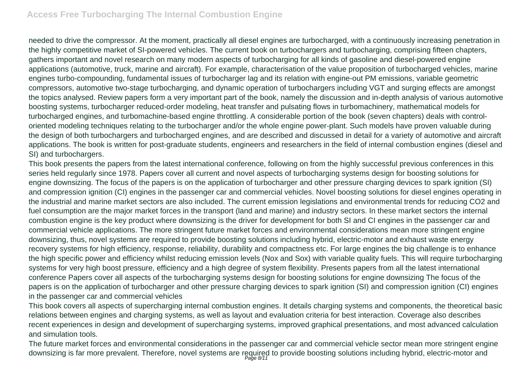needed to drive the compressor. At the moment, practically all diesel engines are turbocharged, with a continuously increasing penetration in the highly competitive market of SI-powered vehicles. The current book on turbochargers and turbocharging, comprising fifteen chapters, gathers important and novel research on many modern aspects of turbocharging for all kinds of gasoline and diesel-powered engine applications (automotive, truck, marine and aircraft). For example, characterisation of the value proposition of turbocharged vehicles, marine engines turbo-compounding, fundamental issues of turbocharger lag and its relation with engine-out PM emissions, variable geometric compressors, automotive two-stage turbocharging, and dynamic operation of turbochargers including VGT and surging effects are amongst the topics analysed. Review papers form a very important part of the book, namely the discussion and in-depth analysis of various automotive boosting systems, turbocharger reduced-order modeling, heat transfer and pulsating flows in turbomachinery, mathematical models for turbocharged engines, and turbomachine-based engine throttling. A considerable portion of the book (seven chapters) deals with controloriented modeling techniques relating to the turbocharger and/or the whole engine power-plant. Such models have proven valuable during the design of both turbochargers and turbocharged engines, and are described and discussed in detail for a variety of automotive and aircraft applications. The book is written for post-graduate students, engineers and researchers in the field of internal combustion engines (diesel and SI) and turbochargers.

This book presents the papers from the latest international conference, following on from the highly successful previous conferences in this series held regularly since 1978. Papers cover all current and novel aspects of turbocharging systems design for boosting solutions for engine downsizing. The focus of the papers is on the application of turbocharger and other pressure charging devices to spark ignition (SI) and compression ignition (CI) engines in the passenger car and commercial vehicles. Novel boosting solutions for diesel engines operating in the industrial and marine market sectors are also included. The current emission legislations and environmental trends for reducing CO2 and fuel consumption are the major market forces in the transport (land and marine) and industry sectors. In these market sectors the internal combustion engine is the key product where downsizing is the driver for development for both SI and CI engines in the passenger car and commercial vehicle applications. The more stringent future market forces and environmental considerations mean more stringent engine downsizing, thus, novel systems are required to provide boosting solutions including hybrid, electric-motor and exhaust waste energy recovery systems for high efficiency, response, reliability, durability and compactness etc. For large engines the big challenge is to enhance the high specific power and efficiency whilst reducing emission levels (Nox and Sox) with variable quality fuels. This will require turbocharging systems for very high boost pressure, efficiency and a high degree of system flexibility. Presents papers from all the latest international conference Papers cover all aspects of the turbocharging systems design for boosting solutions for engine downsizing The focus of the papers is on the application of turbocharger and other pressure charging devices to spark ignition (SI) and compression ignition (CI) engines in the passenger car and commercial vehicles

This book covers all aspects of supercharging internal combustion engines. It details charging systems and components, the theoretical basic relations between engines and charging systems, as well as layout and evaluation criteria for best interaction. Coverage also describes recent experiences in design and development of supercharging systems, improved graphical presentations, and most advanced calculation and simulation tools.

The future market forces and environmental considerations in the passenger car and commercial vehicle sector mean more stringent engine downsizing is far more prevalent. Therefore, novel systems are required to provide boosting solutions including hybrid, electric-motor and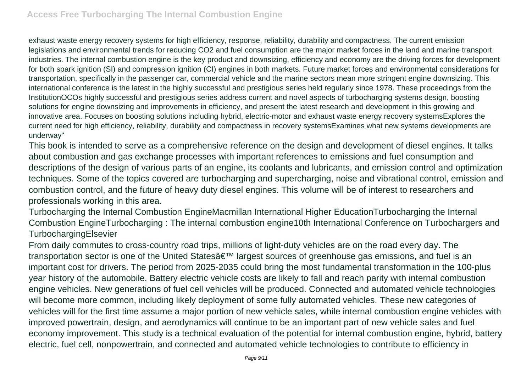exhaust waste energy recovery systems for high efficiency, response, reliability, durability and compactness. The current emission legislations and environmental trends for reducing CO2 and fuel consumption are the major market forces in the land and marine transport industries. The internal combustion engine is the key product and downsizing, efficiency and economy are the driving forces for development for both spark ignition (SI) and compression ignition (CI) engines in both markets. Future market forces and environmental considerations for transportation, specifically in the passenger car, commercial vehicle and the marine sectors mean more stringent engine downsizing. This international conference is the latest in the highly successful and prestigious series held regularly since 1978. These proceedings from the InstitutionOCOs highly successful and prestigious series address current and novel aspects of turbocharging systems design, boosting solutions for engine downsizing and improvements in efficiency, and present the latest research and development in this growing and innovative area. Focuses on boosting solutions including hybrid, electric-motor and exhaust waste energy recovery systemsExplores the current need for high efficiency, reliability, durability and compactness in recovery systemsExamines what new systems developments are underway"

This book is intended to serve as a comprehensive reference on the design and development of diesel engines. It talks about combustion and gas exchange processes with important references to emissions and fuel consumption and descriptions of the design of various parts of an engine, its coolants and lubricants, and emission control and optimization techniques. Some of the topics covered are turbocharging and supercharging, noise and vibrational control, emission and combustion control, and the future of heavy duty diesel engines. This volume will be of interest to researchers and professionals working in this area.

Turbocharging the Internal Combustion EngineMacmillan International Higher EducationTurbocharging the Internal Combustion EngineTurbocharging : The internal combustion engine10th International Conference on Turbochargers and TurbochargingElsevier

From daily commutes to cross-country road trips, millions of light-duty vehicles are on the road every day. The transportation sector is one of the United Statesâ€<sup>™</sup> largest sources of greenhouse gas emissions, and fuel is an important cost for drivers. The period from 2025-2035 could bring the most fundamental transformation in the 100-plus year history of the automobile. Battery electric vehicle costs are likely to fall and reach parity with internal combustion engine vehicles. New generations of fuel cell vehicles will be produced. Connected and automated vehicle technologies will become more common, including likely deployment of some fully automated vehicles. These new categories of vehicles will for the first time assume a major portion of new vehicle sales, while internal combustion engine vehicles with improved powertrain, design, and aerodynamics will continue to be an important part of new vehicle sales and fuel economy improvement. This study is a technical evaluation of the potential for internal combustion engine, hybrid, battery electric, fuel cell, nonpowertrain, and connected and automated vehicle technologies to contribute to efficiency in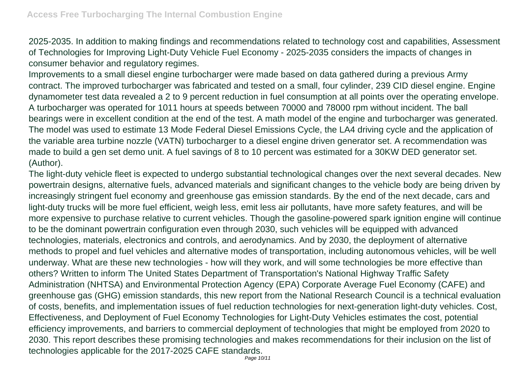2025-2035. In addition to making findings and recommendations related to technology cost and capabilities, Assessment of Technologies for Improving Light-Duty Vehicle Fuel Economy - 2025-2035 considers the impacts of changes in consumer behavior and regulatory regimes.

Improvements to a small diesel engine turbocharger were made based on data gathered during a previous Army contract. The improved turbocharger was fabricated and tested on a small, four cylinder, 239 CID diesel engine. Engine dynamometer test data revealed a 2 to 9 percent reduction in fuel consumption at all points over the operating envelope. A turbocharger was operated for 1011 hours at speeds between 70000 and 78000 rpm without incident. The ball bearings were in excellent condition at the end of the test. A math model of the engine and turbocharger was generated. The model was used to estimate 13 Mode Federal Diesel Emissions Cycle, the LA4 driving cycle and the application of the variable area turbine nozzle (VATN) turbocharger to a diesel engine driven generator set. A recommendation was made to build a gen set demo unit. A fuel savings of 8 to 10 percent was estimated for a 30KW DED generator set. (Author).

The light-duty vehicle fleet is expected to undergo substantial technological changes over the next several decades. New powertrain designs, alternative fuels, advanced materials and significant changes to the vehicle body are being driven by increasingly stringent fuel economy and greenhouse gas emission standards. By the end of the next decade, cars and light-duty trucks will be more fuel efficient, weigh less, emit less air pollutants, have more safety features, and will be more expensive to purchase relative to current vehicles. Though the gasoline-powered spark ignition engine will continue to be the dominant powertrain configuration even through 2030, such vehicles will be equipped with advanced technologies, materials, electronics and controls, and aerodynamics. And by 2030, the deployment of alternative methods to propel and fuel vehicles and alternative modes of transportation, including autonomous vehicles, will be well underway. What are these new technologies - how will they work, and will some technologies be more effective than others? Written to inform The United States Department of Transportation's National Highway Traffic Safety Administration (NHTSA) and Environmental Protection Agency (EPA) Corporate Average Fuel Economy (CAFE) and greenhouse gas (GHG) emission standards, this new report from the National Research Council is a technical evaluation of costs, benefits, and implementation issues of fuel reduction technologies for next-generation light-duty vehicles. Cost, Effectiveness, and Deployment of Fuel Economy Technologies for Light-Duty Vehicles estimates the cost, potential efficiency improvements, and barriers to commercial deployment of technologies that might be employed from 2020 to 2030. This report describes these promising technologies and makes recommendations for their inclusion on the list of technologies applicable for the 2017-2025 CAFE standards.